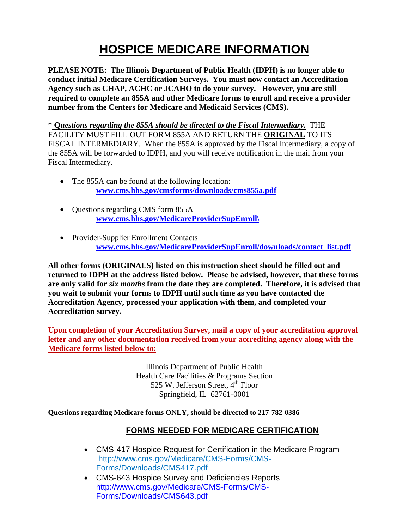# **HOSPICE MEDICARE INFORMATION**

**PLEASE NOTE: The Illinois Department of Public Health (IDPH) is no longer able to conduct initial Medicare Certification Surveys. You must now contact an Accreditation Agency such as CHAP, ACHC or JCAHO to do your survey. However, you are still required to complete an 855A and other Medicare forms to enroll and receive a provider number from the Centers for Medicare and Medicaid Services (CMS).** 

\* **Q***uestions regarding the 855A should be directed to the Fiscal Intermediary.* THE FACILITY MUST FILL OUT FORM 855A AND RETURN THE **ORIGINAL** TO ITS FISCAL INTERMEDIARY. When the 855A is approved by the Fiscal Intermediary, a copy of the 855A will be forwarded to IDPH, and you will receive notification in the mail from your Fiscal Intermediary.

- The 855A can be found at the following location: **[www.cms.hhs.gov/cmsforms/downloads/cms855a.pdf](http://www.cms.hhs.gov/cmsforms/downloads/cms855a.pdf)**
- Questions regarding CMS form 855A **[www.cms.hhs.gov/MedicareProviderSupEnroll\](http://www.cms.hhs.gov/MedicareProviderSupEnroll/)**
- Provider-Supplier Enrollment Contacts **[www.cms.hhs.gov/MedicareProviderSupEnroll/downloads/contact\\_list.pdf](http://www.cms.hhs.gov/MedicareProviderSupEnroll/downloads/contact_list.pdf)**

**All other forms (ORIGINALS) listed on this instruction sheet should be filled out and returned to IDPH at the address listed below. Please be advised, however, that these forms are only valid for** *six months* **from the date they are completed. Therefore, it is advised that you wait to submit your forms to IDPH until such time as you have contacted the Accreditation Agency, processed your application with them, and completed your Accreditation survey.**

**Upon completion of your Accreditation Survey, mail a copy of your accreditation approval letter and any other documentation received from your accrediting agency along with the Medicare forms listed below to:**

> Illinois Department of Public Health Health Care Facilities & Programs Section 525 W. Jefferson Street,  $4<sup>th</sup>$  Floor Springfield, IL 62761-0001

**Questions regarding Medicare forms ONLY, should be directed to 217-782-0386**

#### **FORMS NEEDED FOR MEDICARE CERTIFICATION**

- CMS-417 Hospice Request for Certification in the Medicare Program http://www.cms.gov/Medicare/CMS-Forms/CMS-Forms/Downloads/CMS417.pdf
- CMS-643 Hospice Survey and Deficiencies Reports [http://www.cms.gov/Medicare/CMS-Forms/CMS-](http://www.cms.gov/Medicare/CMS-Forms/CMS-Forms/Downloads/CMS643.pdf)[Forms/Downloads/CMS643.pdf](http://www.cms.gov/Medicare/CMS-Forms/CMS-Forms/Downloads/CMS643.pdf)